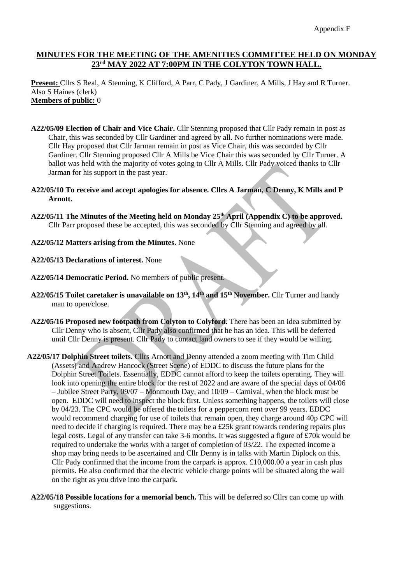## **MINUTES FOR THE MEETING OF THE AMENITIES COMMITTEE HELD ON MONDAY 23rd MAY 2022 AT 7:00PM IN THE COLYTON TOWN HALL.**

**Present:** Cllrs S Real, A Stenning, K Clifford, A Parr, C Pady, J Gardiner, A Mills, J Hay and R Turner. Also S Haines (clerk) **Members of public:** 0

- **A22/05/09 Election of Chair and Vice Chair.** Cllr Stenning proposed that Cllr Pady remain in post as Chair, this was seconded by Cllr Gardiner and agreed by all. No further nominations were made. Cllr Hay proposed that Cllr Jarman remain in post as Vice Chair, this was seconded by Cllr Gardiner. Cllr Stenning proposed Cllr A Mills be Vice Chair this was seconded by Cllr Turner. A ballot was held with the majority of votes going to Cllr A Mills. Cllr Pady voiced thanks to Cllr Jarman for his support in the past year.
- **A22/05/10 To receive and accept apologies for absence. Cllrs A Jarman, C Denny, K Mills and P Arnott.**
- **A22/05/11 The Minutes of the Meeting held on Monday 25th April (Appendix C) to be approved.** Cllr Parr proposed these be accepted, this was seconded by Cllr Stenning and agreed by all.
- **A22/05/12 Matters arising from the Minutes.** None
- **A22/05/13 Declarations of interest.** None
- **A22/05/14 Democratic Period.** No members of public present.
- **A22/05/15 Toilet caretaker is unavailable on 13th, 14th and 15th November.** Cllr Turner and handy man to open/close.
- **A22/05/16 Proposed new footpath from Colyton to Colyford.** There has been an idea submitted by Cllr Denny who is absent, Cllr Pady also confirmed that he has an idea. This will be deferred until Cllr Denny is present. Cllr Pady to contact land owners to see if they would be willing.
- **A22/05/17 Dolphin Street toilets.** Cllrs Arnott and Denny attended a zoom meeting with Tim Child (Assets) and Andrew Hancock (Street Scene) of EDDC to discuss the future plans for the Dolphin Street Toilets. Essentially, EDDC cannot afford to keep the toilets operating. They will look into opening the entire block for the rest of 2022 and are aware of the special days of 04/06 – Jubilee Street Party, 09/07 – Monmouth Day, and 10/09 – Carnival, when the block must be open. EDDC will need to inspect the block first. Unless something happens, the toilets will close by 04/23. The CPC would be offered the toilets for a peppercorn rent over 99 years. EDDC would recommend charging for use of toilets that remain open, they charge around 40p CPC will need to decide if charging is required. There may be a £25k grant towards rendering repairs plus legal costs. Legal of any transfer can take 3-6 months. It was suggested a figure of £70k would be required to undertake the works with a target of completion of 03/22. The expected income a shop may bring needs to be ascertained and Cllr Denny is in talks with Martin Diplock on this. Cllr Pady confirmed that the income from the carpark is approx.  $\pounds 10,000.00$  a year in cash plus permits. He also confirmed that the electric vehicle charge points will be situated along the wall on the right as you drive into the carpark.
- **A22/05/18 Possible locations for a memorial bench.** This will be deferred so Cllrs can come up with suggestions.